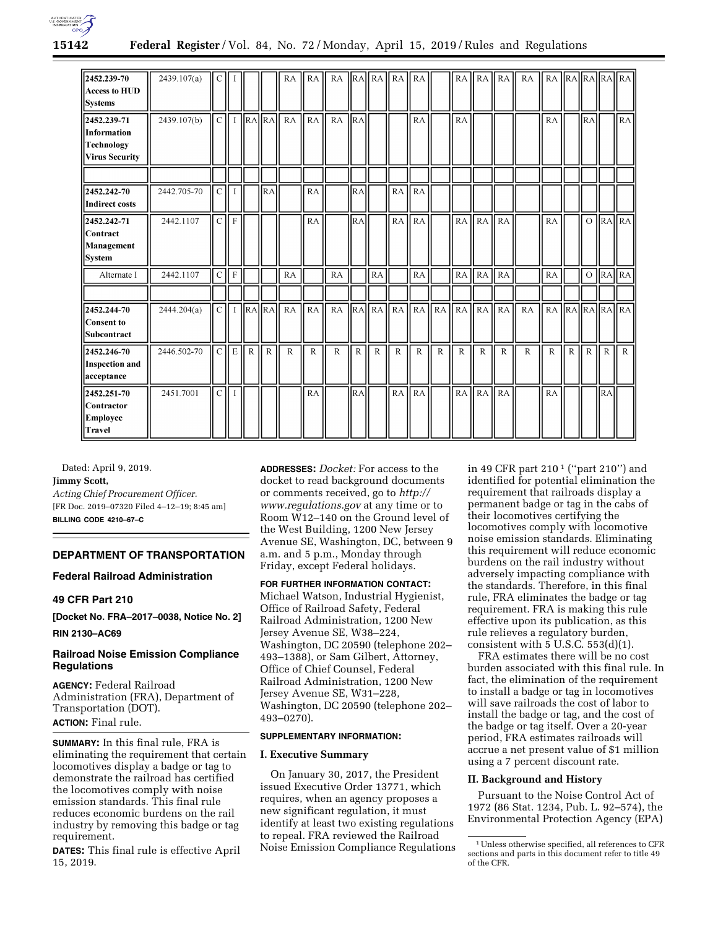

| 2452.239-70<br><b>Access to HUD</b><br><b>Systems</b>             | 2439.107(a) | C               |             |                       |              | RA           | RA           | RA        |              | $\ RA\ RA\ $ | RA           | l RA           |                |              | $RA$ $RA$    | <b>RA</b>    | RA           |              |              |              |                | RA RAIRAIRAIRAI                 |
|-------------------------------------------------------------------|-------------|-----------------|-------------|-----------------------|--------------|--------------|--------------|-----------|--------------|--------------|--------------|----------------|----------------|--------------|--------------|--------------|--------------|--------------|--------------|--------------|----------------|---------------------------------|
| 2452.239-71<br>Information<br>Technology<br><b>Virus Security</b> | 2439.107(b) | CH <sub>I</sub> |             | $\ RA\ RA$            |              | <b>RA</b>    | <b>RA</b>    | <b>RA</b> | RA           |              |              | <b>RA</b>      |                | RA           |              |              |              | RA           |              | RA           |                | RA                              |
| 2452.242-70<br><b>Indirect costs</b>                              | 2442.705-70 | $\mathcal{C}$   |             |                       | <b>RA</b>    |              | RA           |           | RA.          |              | <b>RA</b>    | RA             |                |              |              |              |              |              |              |              |                |                                 |
| 2452.242-71<br>Contract<br>Management<br><b>System</b>            | 2442.1107   | $\mathcal{C}$   | $\mathbf F$ |                       |              |              | RA           |           | RA.          |              | RA           | <b>RA</b>      |                |              | $RA$ $RA$    | <b>RA</b>    |              | RA           |              | $\circ$      |                | $\overline{RA}$ $\overline{RA}$ |
| Alternate I                                                       | 2442.1107   | $\mathcal{C}$   | ll f        |                       |              | <b>RA</b>    |              | RA        |              | RA           |              | RA             |                | $RA$ RA      |              | RA           |              | RA           |              | $\circ$      | $\parallel$ RA | RA                              |
| 2452.244-70<br>Consent to<br>Subcontract                          | 2444.204(a) | CH <sub>I</sub> |             | $\vert$ RA $\vert$ RA |              | <b>RA</b>    | RA           | RA        |              | RAHRA        | RA           | R <sub>A</sub> | R <sub>A</sub> | $RA$ $RA$    |              | <b>RA</b>    | RA           | RA           |              |              |                | $RA$ $RA$ $RA$ $RA$             |
| 2452.246-70<br><b>Inspection and</b><br>acceptance                | 2446.502-70 | $\mathcal{C}$   | l e         | $\mathbb{R}$          | $\mathbb{R}$ | $\mathbb{R}$ | $\mathbb{R}$ | R         | $\mathbb{R}$ | $\mathbf R$  | $\mathbb{R}$ | $\mathbb{R}$   | $\mathbb{R}$   | $\mathbb{R}$ | $\mathbb{R}$ | $\mathsf{R}$ | $\mathbb{R}$ | $\mathbb{R}$ | $\mathbb{R}$ | $\mathbb{R}$ | $\mathbf R$    | $\mathbb{R}$                    |
| 12452.251-70<br>Contractor<br><b>Employee</b><br>Travel           | 2451.7001   | $\mathcal{C}$   |             |                       |              |              | RA           |           | <b>RA</b>    |              | <b>RA</b>    | RA             |                |              | RA <b>RA</b> | RA           |              | <b>RA</b>    |              |              | <b>IRA</b>     |                                 |

Dated: April 9, 2019. **Jimmy Scott,**  *Acting Chief Procurement Officer.*  [FR Doc. 2019–07320 Filed 4–12–19; 8:45 am] **BILLING CODE 4210–67–C** 

## **DEPARTMENT OF TRANSPORTATION**

## **Federal Railroad Administration**

# **49 CFR Part 210**

**[Docket No. FRA–2017–0038, Notice No. 2] RIN 2130–AC69** 

## **Railroad Noise Emission Compliance Regulations**

**AGENCY:** Federal Railroad Administration (FRA), Department of Transportation (DOT). **ACTION:** Final rule.

**SUMMARY:** In this final rule, FRA is eliminating the requirement that certain locomotives display a badge or tag to demonstrate the railroad has certified the locomotives comply with noise emission standards. This final rule reduces economic burdens on the rail industry by removing this badge or tag requirement.

**DATES:** This final rule is effective April 15, 2019.

**ADDRESSES:** *Docket:* For access to the docket to read background documents or comments received, go to *[http://](http://www.regulations.gov) [www.regulations.gov](http://www.regulations.gov)* at any time or to Room W12–140 on the Ground level of the West Building, 1200 New Jersey Avenue SE, Washington, DC, between 9 a.m. and 5 p.m., Monday through Friday, except Federal holidays.

**FOR FURTHER INFORMATION CONTACT:**  Michael Watson, Industrial Hygienist, Office of Railroad Safety, Federal Railroad Administration, 1200 New Jersey Avenue SE, W38–224, Washington, DC 20590 (telephone 202– 493–1388), or Sam Gilbert, Attorney, Office of Chief Counsel, Federal Railroad Administration, 1200 New Jersey Avenue SE, W31–228, Washington, DC 20590 (telephone 202– 493–0270).

## **SUPPLEMENTARY INFORMATION:**

#### **I. Executive Summary**

On January 30, 2017, the President issued Executive Order 13771, which requires, when an agency proposes a new significant regulation, it must identify at least two existing regulations to repeal. FRA reviewed the Railroad Noise Emission Compliance Regulations

in 49 CFR part 210 1 (''part 210'') and identified for potential elimination the requirement that railroads display a permanent badge or tag in the cabs of their locomotives certifying the locomotives comply with locomotive noise emission standards. Eliminating this requirement will reduce economic burdens on the rail industry without adversely impacting compliance with the standards. Therefore, in this final rule, FRA eliminates the badge or tag requirement. FRA is making this rule effective upon its publication, as this rule relieves a regulatory burden, consistent with  $5$  U.S.C.  $553(d)(1)$ .

FRA estimates there will be no cost burden associated with this final rule. In fact, the elimination of the requirement to install a badge or tag in locomotives will save railroads the cost of labor to install the badge or tag, and the cost of the badge or tag itself. Over a 20-year period, FRA estimates railroads will accrue a net present value of \$1 million using a 7 percent discount rate.

## **II. Background and History**

Pursuant to the Noise Control Act of 1972 (86 Stat. 1234, Pub. L. 92–574), the Environmental Protection Agency (EPA)

<sup>1</sup>Unless otherwise specified, all references to CFR sections and parts in this document refer to title 49 of the CFR.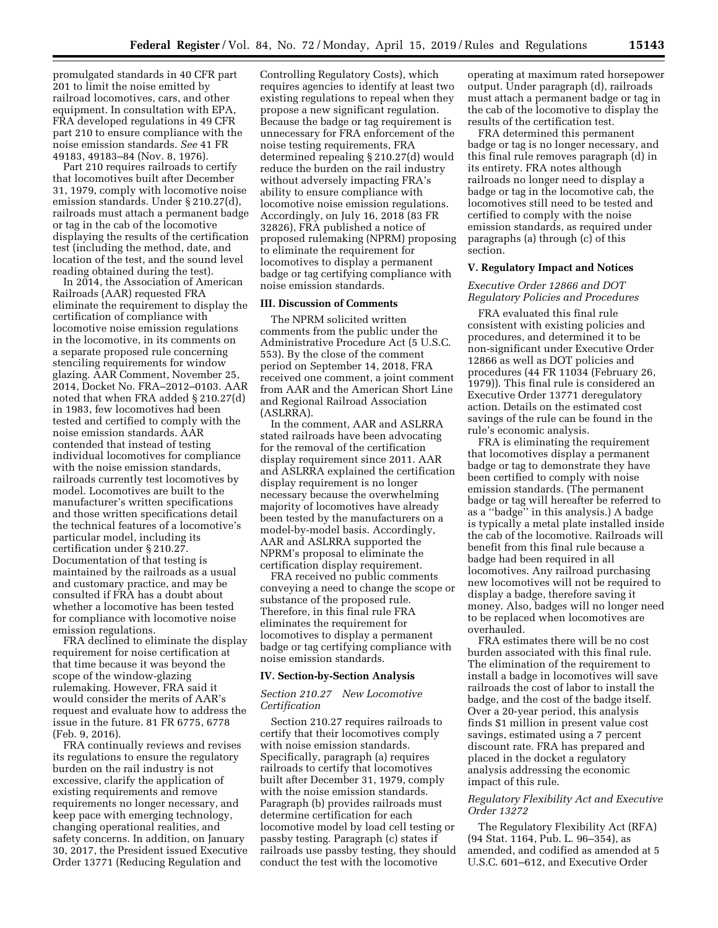promulgated standards in 40 CFR part 201 to limit the noise emitted by railroad locomotives, cars, and other equipment. In consultation with EPA, FRA developed regulations in 49 CFR part 210 to ensure compliance with the noise emission standards. *See* 41 FR 49183, 49183–84 (Nov. 8, 1976).

Part 210 requires railroads to certify that locomotives built after December 31, 1979, comply with locomotive noise emission standards. Under § 210.27(d), railroads must attach a permanent badge or tag in the cab of the locomotive displaying the results of the certification test (including the method, date, and location of the test, and the sound level reading obtained during the test).

In 2014, the Association of American Railroads (AAR) requested FRA eliminate the requirement to display the certification of compliance with locomotive noise emission regulations in the locomotive, in its comments on a separate proposed rule concerning stenciling requirements for window glazing. AAR Comment, November 25, 2014, Docket No. FRA–2012–0103. AAR noted that when FRA added § 210.27(d) in 1983, few locomotives had been tested and certified to comply with the noise emission standards. AAR contended that instead of testing individual locomotives for compliance with the noise emission standards, railroads currently test locomotives by model. Locomotives are built to the manufacturer's written specifications and those written specifications detail the technical features of a locomotive's particular model, including its certification under § 210.27. Documentation of that testing is maintained by the railroads as a usual and customary practice, and may be consulted if FRA has a doubt about whether a locomotive has been tested for compliance with locomotive noise emission regulations.

FRA declined to eliminate the display requirement for noise certification at that time because it was beyond the scope of the window-glazing rulemaking. However, FRA said it would consider the merits of AAR's request and evaluate how to address the issue in the future. 81 FR 6775, 6778 (Feb. 9, 2016).

FRA continually reviews and revises its regulations to ensure the regulatory burden on the rail industry is not excessive, clarify the application of existing requirements and remove requirements no longer necessary, and keep pace with emerging technology, changing operational realities, and safety concerns. In addition, on January 30, 2017, the President issued Executive Order 13771 (Reducing Regulation and

Controlling Regulatory Costs), which requires agencies to identify at least two existing regulations to repeal when they propose a new significant regulation. Because the badge or tag requirement is unnecessary for FRA enforcement of the noise testing requirements, FRA determined repealing § 210.27(d) would reduce the burden on the rail industry without adversely impacting FRA's ability to ensure compliance with locomotive noise emission regulations. Accordingly, on July 16, 2018 (83 FR 32826), FRA published a notice of proposed rulemaking (NPRM) proposing to eliminate the requirement for locomotives to display a permanent badge or tag certifying compliance with noise emission standards.

## **III. Discussion of Comments**

The NPRM solicited written comments from the public under the Administrative Procedure Act (5 U.S.C. 553). By the close of the comment period on September 14, 2018, FRA received one comment, a joint comment from AAR and the American Short Line and Regional Railroad Association (ASLRRA).

In the comment, AAR and ASLRRA stated railroads have been advocating for the removal of the certification display requirement since 2011. AAR and ASLRRA explained the certification display requirement is no longer necessary because the overwhelming majority of locomotives have already been tested by the manufacturers on a model-by-model basis. Accordingly, AAR and ASLRRA supported the NPRM's proposal to eliminate the certification display requirement.

FRA received no public comments conveying a need to change the scope or substance of the proposed rule. Therefore, in this final rule FRA eliminates the requirement for locomotives to display a permanent badge or tag certifying compliance with noise emission standards.

#### **IV. Section-by-Section Analysis**

#### *Section 210.27 New Locomotive Certification*

Section 210.27 requires railroads to certify that their locomotives comply with noise emission standards. Specifically, paragraph (a) requires railroads to certify that locomotives built after December 31, 1979, comply with the noise emission standards. Paragraph (b) provides railroads must determine certification for each locomotive model by load cell testing or passby testing. Paragraph (c) states if railroads use passby testing, they should conduct the test with the locomotive

operating at maximum rated horsepower output. Under paragraph (d), railroads must attach a permanent badge or tag in the cab of the locomotive to display the results of the certification test.

FRA determined this permanent badge or tag is no longer necessary, and this final rule removes paragraph (d) in its entirety. FRA notes although railroads no longer need to display a badge or tag in the locomotive cab, the locomotives still need to be tested and certified to comply with the noise emission standards, as required under paragraphs (a) through (c) of this section.

#### **V. Regulatory Impact and Notices**

## *Executive Order 12866 and DOT Regulatory Policies and Procedures*

FRA evaluated this final rule consistent with existing policies and procedures, and determined it to be non-significant under Executive Order 12866 as well as DOT policies and procedures (44 FR 11034 (February 26, 1979)). This final rule is considered an Executive Order 13771 deregulatory action. Details on the estimated cost savings of the rule can be found in the rule's economic analysis.

FRA is eliminating the requirement that locomotives display a permanent badge or tag to demonstrate they have been certified to comply with noise emission standards. (The permanent badge or tag will hereafter be referred to as a ''badge'' in this analysis.) A badge is typically a metal plate installed inside the cab of the locomotive. Railroads will benefit from this final rule because a badge had been required in all locomotives. Any railroad purchasing new locomotives will not be required to display a badge, therefore saving it money. Also, badges will no longer need to be replaced when locomotives are overhauled.

FRA estimates there will be no cost burden associated with this final rule. The elimination of the requirement to install a badge in locomotives will save railroads the cost of labor to install the badge, and the cost of the badge itself. Over a 20-year period, this analysis finds \$1 million in present value cost savings, estimated using a 7 percent discount rate. FRA has prepared and placed in the docket a regulatory analysis addressing the economic impact of this rule.

## *Regulatory Flexibility Act and Executive Order 13272*

The Regulatory Flexibility Act (RFA) (94 Stat. 1164, Pub. L. 96–354), as amended, and codified as amended at 5 U.S.C. 601–612, and Executive Order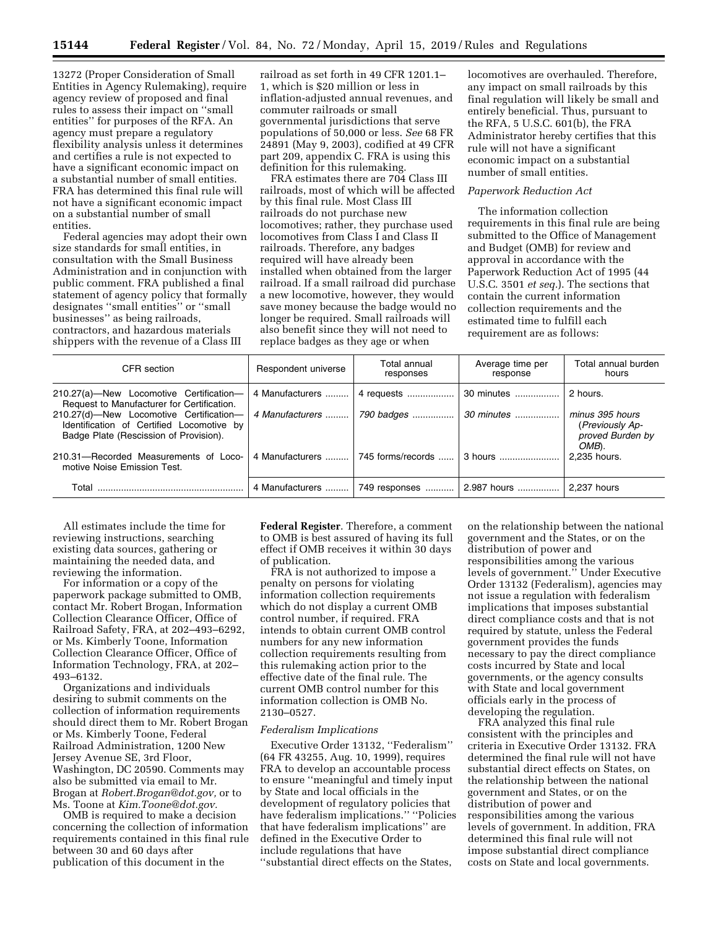13272 (Proper Consideration of Small Entities in Agency Rulemaking), require agency review of proposed and final rules to assess their impact on ''small entities'' for purposes of the RFA. An agency must prepare a regulatory flexibility analysis unless it determines and certifies a rule is not expected to have a significant economic impact on a substantial number of small entities. FRA has determined this final rule will not have a significant economic impact on a substantial number of small entities.

Federal agencies may adopt their own size standards for small entities, in consultation with the Small Business Administration and in conjunction with public comment. FRA published a final statement of agency policy that formally designates ''small entities'' or ''small businesses'' as being railroads, contractors, and hazardous materials shippers with the revenue of a Class III

railroad as set forth in 49 CFR 1201.1– 1, which is \$20 million or less in inflation-adjusted annual revenues, and commuter railroads or small governmental jurisdictions that serve populations of 50,000 or less. *See* 68 FR 24891 (May 9, 2003), codified at 49 CFR part 209, appendix C. FRA is using this definition for this rulemaking.

FRA estimates there are 704 Class III railroads, most of which will be affected by this final rule. Most Class III railroads do not purchase new locomotives; rather, they purchase used locomotives from Class I and Class II railroads. Therefore, any badges required will have already been installed when obtained from the larger railroad. If a small railroad did purchase a new locomotive, however, they would save money because the badge would no longer be required. Small railroads will also benefit since they will not need to replace badges as they age or when

locomotives are overhauled. Therefore, any impact on small railroads by this final regulation will likely be small and entirely beneficial. Thus, pursuant to the RFA, 5 U.S.C. 601(b), the FRA Administrator hereby certifies that this rule will not have a significant economic impact on a substantial number of small entities.

## *Paperwork Reduction Act*

The information collection requirements in this final rule are being submitted to the Office of Management and Budget (OMB) for review and approval in accordance with the Paperwork Reduction Act of 1995 (44 U.S.C. 3501 *et seq.*). The sections that contain the current information collection requirements and the estimated time to fulfill each requirement are as follows:

| CFR section                                                                                                                    | Respondent universe | Total annual<br>responses          | Average time per<br>response                | Total annual burden<br>hours                                    |
|--------------------------------------------------------------------------------------------------------------------------------|---------------------|------------------------------------|---------------------------------------------|-----------------------------------------------------------------|
| 210.27(a)-New Locomotive Certification-<br>Request to Manufacturer for Certification.                                          | 4 Manufacturers     | 4 requests                         | 30 minutes                                  | 2 hours.                                                        |
| 210.27(d)-New Locomotive Certification-<br>Identification of Certified Locomotive by<br>Badge Plate (Rescission of Provision). | 4 Manufacturers     | 790 badges                         | 30 minutes                                  | minus 395 hours<br>(Previously Ap-<br>proved Burden by<br>OMB). |
| 210.31-Recorded Measurements of Loco-<br>motive Noise Emission Test.                                                           |                     | 4 Manufacturers  745 forms/records | $\vert$ 3 hours                             | 2.235 hours.                                                    |
| Total                                                                                                                          | 4 Manufacturers     |                                    | 749 responses    2.987 hours    2,237 hours |                                                                 |

All estimates include the time for reviewing instructions, searching existing data sources, gathering or maintaining the needed data, and reviewing the information.

For information or a copy of the paperwork package submitted to OMB, contact Mr. Robert Brogan, Information Collection Clearance Officer, Office of Railroad Safety, FRA, at 202–493–6292, or Ms. Kimberly Toone, Information Collection Clearance Officer, Office of Information Technology, FRA, at 202– 493–6132.

Organizations and individuals desiring to submit comments on the collection of information requirements should direct them to Mr. Robert Brogan or Ms. Kimberly Toone, Federal Railroad Administration, 1200 New Jersey Avenue SE, 3rd Floor, Washington, DC 20590. Comments may also be submitted via email to Mr. Brogan at *[Robert.Brogan@dot.gov,](mailto:Robert.Brogan@dot.gov)* or to Ms. Toone at *[Kim.Toone@dot.gov.](mailto:Kim.Toone@dot.gov)* 

OMB is required to make a decision concerning the collection of information requirements contained in this final rule between 30 and 60 days after publication of this document in the

**Federal Register**. Therefore, a comment to OMB is best assured of having its full effect if OMB receives it within 30 days of publication.

FRA is not authorized to impose a penalty on persons for violating information collection requirements which do not display a current OMB control number, if required. FRA intends to obtain current OMB control numbers for any new information collection requirements resulting from this rulemaking action prior to the effective date of the final rule. The current OMB control number for this information collection is OMB No. 2130–0527.

#### *Federalism Implications*

Executive Order 13132, ''Federalism'' (64 FR 43255, Aug. 10, 1999), requires FRA to develop an accountable process to ensure ''meaningful and timely input by State and local officials in the development of regulatory policies that have federalism implications.'' ''Policies that have federalism implications'' are defined in the Executive Order to include regulations that have ''substantial direct effects on the States,

on the relationship between the national government and the States, or on the distribution of power and responsibilities among the various levels of government.'' Under Executive Order 13132 (Federalism), agencies may not issue a regulation with federalism implications that imposes substantial direct compliance costs and that is not required by statute, unless the Federal government provides the funds necessary to pay the direct compliance costs incurred by State and local governments, or the agency consults with State and local government officials early in the process of developing the regulation.

FRA analyzed this final rule consistent with the principles and criteria in Executive Order 13132. FRA determined the final rule will not have substantial direct effects on States, on the relationship between the national government and States, or on the distribution of power and responsibilities among the various levels of government. In addition, FRA determined this final rule will not impose substantial direct compliance costs on State and local governments.